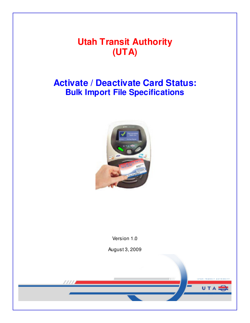# **Utah Transit Authority (UTA)**

# **Activate / Deactivate Card Status: Bulk Import File Specifications**



Version 1.0

August 3, 2009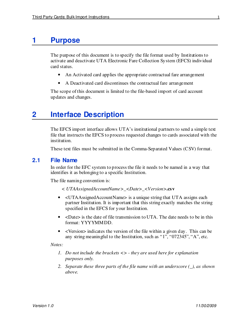## **1 Purpose**

The purpose of this document is to specify the file format used by Institutions to activate and deactivate UTA Electronic Fare Collection System (EFCS) individual card status.

- An Activated card applies the appropriate contractual fare arrangement
- A Deactivated card discontinues the contractual fare arrangement

The scope of this document is limited to the file-based import of card account updates and changes.

## **2 Interface Description**

The EFCS import interface allows UTA's institutional partners to send a simple text file that instructs the EFCS to process requested changes to cards associated with the institution.

These text files must be submitted in the Comma-Separated Values (CSV) format.

#### **2.1 File Name**

In order for the EFC system to process the file it needs to be named in a way that identifies it as belonging to a specific Institution.

The file naming convention is:

- *< UTAAssignedAccountName>***\_***<Date>***\_***<Version>***.csv**
- <UTAAssignedAccountName> is a unique string that UTA assigns each partner Institution. It is important that this string exactly matches the string specified in the EFCS for your Institution.
- <Date> is the date of file transmission to UTA. The date needs to be in this format: YYYYMMDD.
- <Version> indicates the version of the file within a given day. This can be any string meaningful to the Institution, such as "1", "072345", "A", etc.

*Notes:* 

- *1. Do not include the brackets <> they are used here for explanation purposes only.*
- *2. Separate these three parts of the file name with an underscore (\_), as shown above.*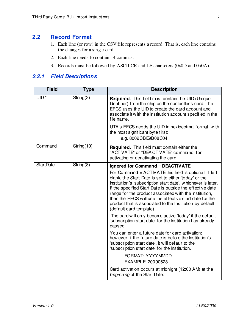## **2.2 Record Format**

- 1. Each line (or row) in the CSV file represents a record. That is, each line contains the changes for a single card.
- 2. Each line needs to contain 14 commas.
- 3. Records must be followed by ASCII CR and LF characters (0x0D and 0x0A).

## **2.2.1 Field Descriptions**

| <b>Field</b>     | <b>Type</b> | <b>Description</b>                                                                                                                                                                                                                                                                                                                                                                                                                                         |  |  |  |  |  |
|------------------|-------------|------------------------------------------------------------------------------------------------------------------------------------------------------------------------------------------------------------------------------------------------------------------------------------------------------------------------------------------------------------------------------------------------------------------------------------------------------------|--|--|--|--|--|
| $UID*$           | String(2)   | <b>Required.</b> This field must contain the UID (Unique)<br>Identifier) from the chip on the contactless card. The<br>EFCS uses the UID to create the card account and<br>associate it with the Institution account specified in the<br>file name.                                                                                                                                                                                                        |  |  |  |  |  |
|                  |             | UTA's EFCS needs the UID in hexidecimal format, with<br>the most significant byte first:<br>e.g. 8002CBE9B08C04                                                                                                                                                                                                                                                                                                                                            |  |  |  |  |  |
| Command          | String(10)  | Required. This field must contain either the<br>"ACTIVATE" or "DEACTIVATE" command, for<br>activating or deactivating the card.                                                                                                                                                                                                                                                                                                                            |  |  |  |  |  |
| <b>StartDate</b> | String(8)   | Ignored for Command = DEACTIVATE                                                                                                                                                                                                                                                                                                                                                                                                                           |  |  |  |  |  |
|                  |             | For Command = ACTIVATE this field is optional. If left<br>blank, the Start Date is set to either 'today' or the<br>Institution's 'subscription start date', w hichever is later.<br>If the specified Start Date is outside the effective date<br>range for the product associated with the Institution,<br>then the EFCS will use the effective start date for the<br>product that is associated to the Institution by default<br>(default card template). |  |  |  |  |  |
|                  |             | The card will only become active 'today' if the default<br>'subscription start date' for the Institution has already<br>passed.                                                                                                                                                                                                                                                                                                                            |  |  |  |  |  |
|                  |             | You can enter a future date for card activation;<br>how ever, if the future date is before the Institution's<br>'subscription start date', it w ill default to the<br>'subscription start date' for the Institution.                                                                                                                                                                                                                                       |  |  |  |  |  |
|                  |             | FORMAT: YYYYMMDD<br>EXAMPLE: 20090528                                                                                                                                                                                                                                                                                                                                                                                                                      |  |  |  |  |  |
|                  |             | Card activation occurs at midnight (12:00 AM) at the<br>beginning of the Start Date.                                                                                                                                                                                                                                                                                                                                                                       |  |  |  |  |  |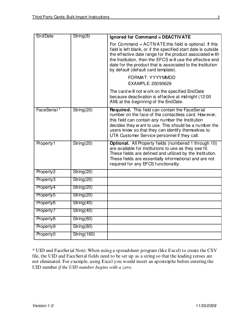| <b>EndDate</b>        | String(8)   | Ignored for Command = DEACTIVATE                                                                                                                                                                                                                                                                                                                         |
|-----------------------|-------------|----------------------------------------------------------------------------------------------------------------------------------------------------------------------------------------------------------------------------------------------------------------------------------------------------------------------------------------------------------|
|                       |             | For Command $=$ ACTIVATE this field is optional. If this<br>field is left blank, or if the specified start date is outside<br>the effective date range for the product associated with<br>the Institution, then the EFCS will use the effective end<br>date for the product that is associated to the Institution<br>by default (default card template). |
|                       |             | FORMAT: YYYYMMDD<br>EXAMPLE: 20090629                                                                                                                                                                                                                                                                                                                    |
|                       |             | The card will not w ork on the specified End Date<br>because deactivation is effective at midnight (12:00<br>AM) at the <i>beginning</i> of the End Date.                                                                                                                                                                                                |
| FaceSerial*           | String(20)  | Required. This field can contain the FaceSerial<br>number on the face of the contactless card. How ever,<br>this field can contain any number the Institution<br>decides they w ant to use. This should be a number the<br>users know so that they can identify themselves to<br>UTA Customer Service personnel if they call.                            |
| Property1             | String(20)  | Optional. All Property fields (numbered 1 through 10)<br>are available for institutions to use as they see fit.<br>These fields are defined and utilized by the Institution.<br>These fields are essentially informational and are not<br>required for any EFCS functionality.                                                                           |
| Property <sub>2</sub> | String(20)  |                                                                                                                                                                                                                                                                                                                                                          |
| Property3             | String(20)  |                                                                                                                                                                                                                                                                                                                                                          |
| Property4             | String(20)  |                                                                                                                                                                                                                                                                                                                                                          |
| Property <sub>5</sub> | String(20)  |                                                                                                                                                                                                                                                                                                                                                          |
| Property6             | String(40)  |                                                                                                                                                                                                                                                                                                                                                          |
| Property <sub>7</sub> | String(40)  |                                                                                                                                                                                                                                                                                                                                                          |
| Property <sup>8</sup> | String(80)  |                                                                                                                                                                                                                                                                                                                                                          |
| Property9             | String(80)  |                                                                                                                                                                                                                                                                                                                                                          |
| Property <sub>0</sub> | String(160) |                                                                                                                                                                                                                                                                                                                                                          |

\* UID and FaceSerial Note: When using a spreadsheet program (like Excel) to create the CSV file, the UID and FaceSerial fields need to be set up as a string so that the leading zeroes are not eliminated. For example, using Excel you would insert an apostrophe before entering the UID number *if the UID number begins with a zero*.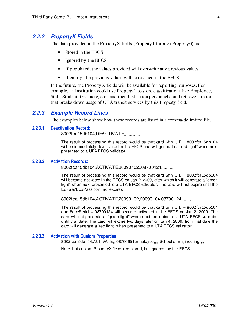### **2.2.2 PropertyX Fields**

The data provided in the PropertyX fields (Property1 through Property0) are:

- Stored in the EFCS
- Ignored by the EFCS
- If populated, the values provided will overwrite any previous values
- If empty, the previous values will be retained in the EFCS

In the future, the PropertyX fields will be available for reporting purposes. For example, an Institution could use Property1 to store classifications like Employee, Staff, Student, Graduate, etc. and then Institution personnel could retrieve a report that breaks down usage of UTA transit services by this Property field.

#### **2.2.3 Example Record Lines**

The examples below show how these records are listed in a comma-delimited file.

#### 2.2.3.1 Deactivation Record:

8002fca15db104,DEA CTIVATE,,,,,,,,,,,,,

The result of processing this record would be that card with  $UID = 8002$  fca 15db 104 will be immediately deactivated in the EFCS and will generate a "red light" when next presented to a UTA EFCS validator.

#### 2.2.3.2 Activation Records:

8002fca15db104,ACTIVATE,20090102,,08700124,,,,,,,,,,

The result of processing this record would be that card with  $UID = 8002$  fca 15db 104 will become activated in the EFCS on Jan 2, 2009, after which it will generate a "green" light" when next presented to a UTA EFCS validator. The card will not expire until the EdPass/EcoPass contract expires.

8002fca15db104,ACTIVATE,20090102,20090104,08700124,,,,,,,,,,

The result of processing this record would be that card with  $UID = 8002$  fca 15db 104 and FaceSerial = 08700124 will become activated in the EFCS on Jan 2, 2009. The card will not generate a "green light" when next presented to a UTA EFCS validator until that date. The card will expire two days later on Jan 4, 2009; from that date the card will generate a "red light" when presented to a UTA EFCS validator.

#### 2.2.3.3 Activation with Custom Properties

8002fca15db104,ACTIVATE,,,08700651,Employee,,,,,School of Engineering,,,,

Note that custom PropertyX fields are stored, but ignored, by the EFCS.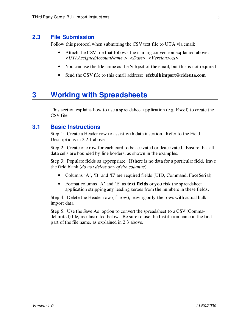## **2.3 File Submission**

Follow this protocol when submitting the CSV text file to UTA via email:

- Attach the CSV file that follows the naming convention explained above: *<UTAAssignedAccountName >***\_***<Date>***\_***<Version>***.csv**
- You can use the file name as the Subject of the email, but this is not required
- Send the CSV file to this email address: **efcbulkimport@rideuta.com**

## **3 Working with Spreadsheets**

This section explains how to use a spreadsheet application (e.g. Excel) to create the CSV file.

### **3.1 Basic Instructions**

Step 1: Create a Header row to assist with data insertion. Refer to the Field Descriptions in 2.2.1 above.

Step 2: Create one row for each card to be activated or deactivated. Ensure that all data cells are bounded by line borders, as shown in the examples.

Step 3: Populate fields as appropriate. If there is no data for a particular field, leave the field blank (*do not delete any of the columns*).

- Columns 'A', 'B' and 'E' are required fields (UID, Command, FaceSerial).
- Format columns 'A' and 'E' as **text fields** or you risk the spreadsheet application stripping any leading zeroes from the numbers in these fields.

Step 4: Delete the Header row  $(1<sup>st</sup> row)$ , leaving only the rows with actual bulk import data.

Step 5: Use the Save As option to convert the spreadsheet to a CSV (Commadelimited) file, as illustrated below. Be sure to use the Institution name in the first part of the file name, as explained in 2.3 above.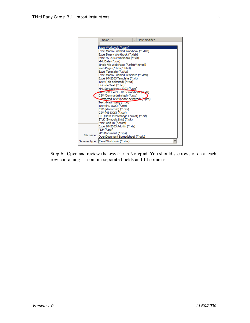

Step 6: Open and review the **.csv** file in Notepad. You should see rows of data, each row containing 15 comma-separated fields and 14 commas.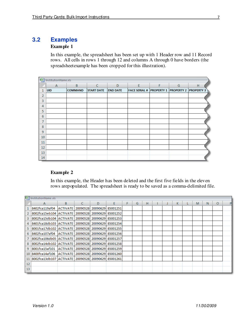## **3.2 Examples**

#### **Example 1**

In this example, the spreadsheet has been set up with 1 Header row and 11 Record rows. All cells in rows 1 through 12 and columns A through 0 have borders (the spreadsheetexample has been cropped for this illustration).

| 嚠<br>InstitutionName.xls |              |                |                   |                 |                                                       |   |   |   |  |
|--------------------------|--------------|----------------|-------------------|-----------------|-------------------------------------------------------|---|---|---|--|
|                          | $\mathsf{A}$ | B              | C                 | D               | E                                                     | F | G | н |  |
| 1                        | <b>UID</b>   | <b>COMMAND</b> | <b>START DATE</b> | <b>END DATE</b> | <b>FACE SERIAL # PROPERTY 1 PROPERTY 2 PROPERTY 3</b> |   |   |   |  |
| $\overline{2}$           |              |                |                   |                 |                                                       |   |   |   |  |
| 3                        |              |                |                   |                 |                                                       |   |   |   |  |
| 4                        |              |                |                   |                 |                                                       |   |   |   |  |
| 5                        |              |                |                   |                 |                                                       |   |   |   |  |
| 6                        |              |                |                   |                 |                                                       |   |   |   |  |
| $\overline{7}$           |              |                |                   |                 |                                                       |   |   |   |  |
| 8                        |              |                |                   |                 |                                                       |   |   |   |  |
| 9                        |              |                |                   |                 |                                                       |   |   |   |  |
| 10                       |              |                |                   |                 |                                                       |   |   |   |  |
| 11                       |              |                |                   |                 |                                                       |   |   |   |  |
| 12                       |              |                |                   |                 |                                                       |   |   |   |  |
| 13                       |              |                |                   |                 |                                                       |   |   |   |  |
| 14                       |              |                |                   |                 |                                                       |   |   |   |  |

#### **Example 2**

In this example, the Header has been deleted and the first five fields in the eleven rows arepopulated. The spreadsheet is ready to be saved as a comma-delimited file.

|                 | <sup>1</sup> InstitutionName.xls                |    |    |   |          |   |   |   |  |  |    |   |   |   |   |  |
|-----------------|-------------------------------------------------|----|----|---|----------|---|---|---|--|--|----|---|---|---|---|--|
|                 | А                                               | B. | C. | D | F.       | F | G | н |  |  | K. | L | M | N | O |  |
|                 | 8402fca119af04   ACTIVATE   20090528   20090629 |    |    |   | 85001251 |   |   |   |  |  |    |   |   |   |   |  |
|                 | 8002fca15eb104 ACTIVATE 20090528 20090629       |    |    |   | 85001252 |   |   |   |  |  |    |   |   |   |   |  |
| 3               | 8002fca15db104 ACTIVATE 20090528 20090629       |    |    |   | 85001253 |   |   |   |  |  |    |   |   |   |   |  |
| 4               | 8401fca18db103 ACTIVATE 20090528 20090629       |    |    |   | 85001254 |   |   |   |  |  |    |   |   |   |   |  |
| 5.              | 8001fca17db102 ACTIVATE 20090528 20090629       |    |    |   | 85001255 |   |   |   |  |  |    |   |   |   |   |  |
| 6               | 8402fca107af04   ACTIVATE   20090528   20090629 |    |    |   | 85001256 |   |   |   |  |  |    |   |   |   |   |  |
|                 | 8002fca106db05 ACTIVATE 20090528 20090629       |    |    |   | 85001257 |   |   |   |  |  |    |   |   |   |   |  |
| 8               | 8002fca14db102 ACTIVATE 20090528 20090629       |    |    |   | 85001258 |   |   |   |  |  |    |   |   |   |   |  |
| 9               | 8001fca15af101   ACTIVATE   20090528   20090629 |    |    |   | 85001259 |   |   |   |  |  |    |   |   |   |   |  |
| 10 <sup>°</sup> | 8400fca14af106   ACTIVATE   20090528   20090629 |    |    |   | 85001260 |   |   |   |  |  |    |   |   |   |   |  |
|                 | 8002fca13db107 ACTIVATE 20090528 20090629       |    |    |   | 85001261 |   |   |   |  |  |    |   |   |   |   |  |
| 12              |                                                 |    |    |   |          |   |   |   |  |  |    |   |   |   |   |  |
| 13              |                                                 |    |    |   |          |   |   |   |  |  |    |   |   |   |   |  |